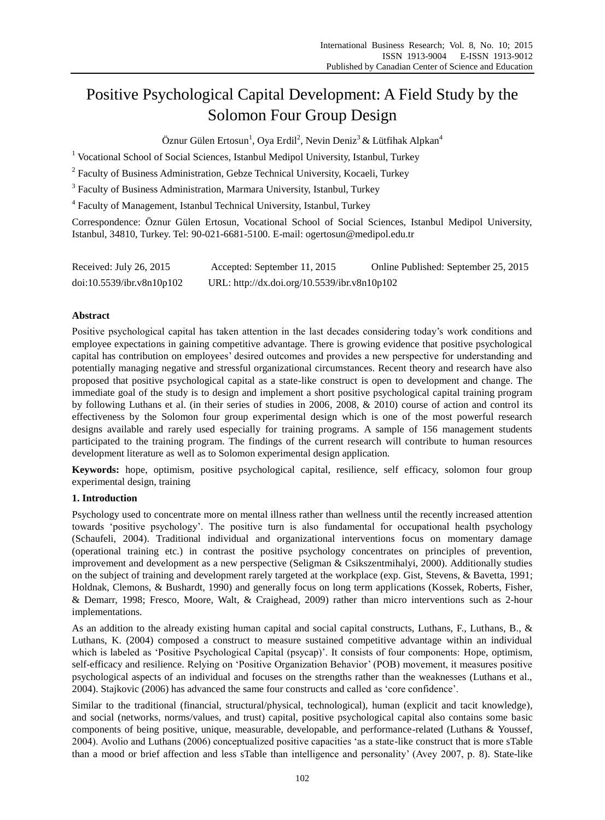# Positive Psychological Capital Development: A Field Study by the Solomon Four Group Design

Ö znur Gülen Ertosun $^1$ , Oya Erdil $^2$ , Nevin Deniz $^3$  & Lütfihak Alpkan $^4$ 

<sup>1</sup> Vocational School of Social Sciences, Istanbul Medipol University, Istanbul, Turkey

<sup>2</sup> Faculty of Business Administration, Gebze Technical University, Kocaeli, Turkey

<sup>3</sup> Faculty of Business Administration, Marmara University, Istanbul, Turkey

<sup>4</sup> Faculty of Management, Istanbul Technical University, Istanbul, Turkey

Correspondence: Ö znur Gülen Ertosun, Vocational School of Social Sciences, Istanbul Medipol University, Istanbul, 34810, Turkey. Tel: 90-021-6681-5100. E-mail: [ogertosun@medipol.edu.tr](mailto:ogertosun@medipol.edu.tr)

| Received: July 26, 2015   | Accepted: September 11, 2015                 | Online Published: September 25, 2015 |
|---------------------------|----------------------------------------------|--------------------------------------|
| doi:10.5539/ibr.v8n10p102 | URL: http://dx.doi.org/10.5539/ibr.v8n10p102 |                                      |

## **Abstract**

Positive psychological capital has taken attention in the last decades considering today"s work conditions and employee expectations in gaining competitive advantage. There is growing evidence that positive psychological capital has contribution on employees" desired outcomes and provides a new perspective for understanding and potentially managing negative and stressful organizational circumstances. Recent theory and research have also proposed that positive psychological capital as a state-like construct is open to development and change. The immediate goal of the study is to design and implement a short positive psychological capital training program by following Luthans et al. (in their series of studies in 2006, 2008, & 2010) course of action and control its effectiveness by the Solomon four group experimental design which is one of the most powerful research designs available and rarely used especially for training programs. A sample of 156 management students participated to the training program. The findings of the current research will contribute to human resources development literature as well as to Solomon experimental design application.

**Keywords:** hope, optimism, positive psychological capital, resilience, self efficacy, solomon four group experimental design, training

# **1. Introduction**

Psychology used to concentrate more on mental illness rather than wellness until the recently increased attention towards "positive psychology". The positive turn is also fundamental for occupational health psychology (Schaufeli, 2004). Traditional individual and organizational interventions focus on momentary damage (operational training etc.) in contrast the positive psychology concentrates on principles of prevention, improvement and development as a new perspective (Seligman & Csikszentmihalyi, 2000). Additionally studies on the subject of training and development rarely targeted at the workplace (exp. Gist, Stevens, & Bavetta, 1991; Holdnak, Clemons, & Bushardt, 1990) and generally focus on long term applications (Kossek, Roberts, Fisher, & Demarr, 1998; Fresco, Moore, Walt, & Craighead, 2009) rather than micro interventions such as 2-hour implementations.

As an addition to the already existing human capital and social capital constructs, Luthans, F., Luthans, B., & Luthans, K. (2004) composed a construct to measure sustained competitive advantage within an individual which is labeled as 'Positive Psychological Capital (psycap)'. It consists of four components: Hope, optimism, self-efficacy and resilience. Relying on 'Positive Organization Behavior' (POB) movement, it measures positive psychological aspects of an individual and focuses on the strengths rather than the weaknesses (Luthans et al., 2004). Stajkovic (2006) has advanced the same four constructs and called as "core confidence".

Similar to the traditional (financial, structural/physical, technological), human (explicit and tacit knowledge), and social (networks, norms/values, and trust) capital, positive psychological capital also contains some basic components of being positive, unique, measurable, developable, and performance-related (Luthans & Youssef, 2004). Avolio and Luthans (2006) conceptualized positive capacities "as a state-like construct that is more sTable than a mood or brief affection and less sTable than intelligence and personality" (Avey 2007, p. 8). State-like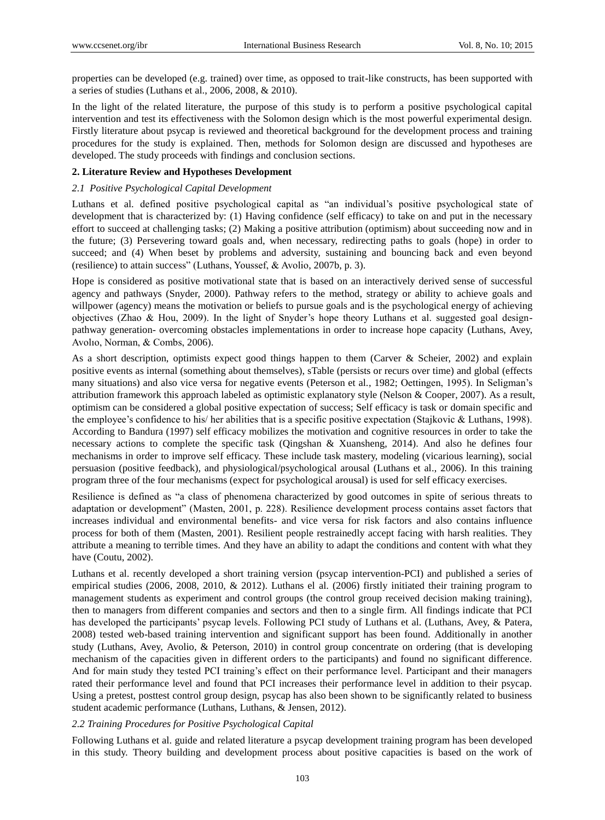properties can be developed (e.g. trained) over time, as opposed to trait-like constructs, has been supported with a series of studies (Luthans et al., 2006, 2008, & 2010).

In the light of the related literature, the purpose of this study is to perform a positive psychological capital intervention and test its effectiveness with the Solomon design which is the most powerful experimental design. Firstly literature about psycap is reviewed and theoretical background for the development process and training procedures for the study is explained. Then, methods for Solomon design are discussed and hypotheses are developed. The study proceeds with findings and conclusion sections.

## **2. Literature Review and Hypotheses Development**

## *2.1 Positive Psychological Capital Development*

Luthans et al. defined positive psychological capital as "an individual"s positive psychological state of development that is characterized by: (1) Having confidence (self efficacy) to take on and put in the necessary effort to succeed at challenging tasks; (2) Making a positive attribution (optimism) about succeeding now and in the future; (3) Persevering toward goals and, when necessary, redirecting paths to goals (hope) in order to succeed; and (4) When beset by problems and adversity, sustaining and bouncing back and even beyond (resilience) to attain success" (Luthans, Youssef, & Avolio, 2007b, p. 3).

Hope is considered as positive motivational state that is based on an interactively derived sense of successful agency and pathways (Snyder, 2000). Pathway refers to the method, strategy or ability to achieve goals and willpower (agency) means the motivation or beliefs to pursue goals and is the psychological energy of achieving objectives (Zhao & Hou, 2009). In the light of Snyder's hope theory Luthans et al. suggested goal designpathway generation- overcoming obstacles implementations in order to increase hope capacity (Luthans, Avey, Avolıo, Norman, & Combs, 2006).

As a short description, optimists expect good things happen to them (Carver & Scheier, 2002) and explain positive events as internal (something about themselves), sTable (persists or recurs over time) and global (effects many situations) and also vice versa for negative events (Peterson et al., 1982; Oettingen, 1995). In Seligman"s attribution framework this approach labeled as optimistic explanatory style (Nelson & Cooper, 2007). As a result, optimism can be considered a global positive expectation of success; Self efficacy is task or domain specific and the employee's confidence to his/ her abilities that is a specific positive expectation (Stajkovic & Luthans, 1998). According to Bandura (1997) self efficacy mobilizes the motivation and cognitive resources in order to take the necessary actions to complete the specific task (Qingshan & Xuansheng, 2014). And also he defines four mechanisms in order to improve self efficacy. These include task mastery, modeling (vicarious learning), social persuasion (positive feedback), and physiological/psychological arousal (Luthans et al., 2006). In this training program three of the four mechanisms (expect for psychological arousal) is used for self efficacy exercises.

Resilience is defined as "a class of phenomena characterized by good outcomes in spite of serious threats to adaptation or development" (Masten, 2001, p. 228). Resilience development process contains asset factors that increases individual and environmental benefits- and vice versa for risk factors and also contains influence process for both of them (Masten, 2001). Resilient people restrainedly accept facing with harsh realities. They attribute a meaning to terrible times. And they have an ability to adapt the conditions and content with what they have (Coutu, 2002).

Luthans et al. recently developed a short training version (psycap intervention-PCI) and published a series of empirical studies (2006, 2008, 2010, & 2012). Luthans el al. (2006) firstly initiated their training program to management students as experiment and control groups (the control group received decision making training), then to managers from different companies and sectors and then to a single firm. All findings indicate that PCI has developed the participants' psycap levels. Following PCI study of Luthans et al. (Luthans, Avey, & Patera, 2008) tested web-based training intervention and significant support has been found. Additionally in another study (Luthans, Avey, Avolio, & Peterson, 2010) in control group concentrate on ordering (that is developing mechanism of the capacities given in different orders to the participants) and found no significant difference. And for main study they tested PCI training's effect on their performance level. Participant and their managers rated their performance level and found that PCI increases their performance level in addition to their psycap. Using a pretest, posttest control group design, psycap has also been shown to be significantly related to business student academic performance (Luthans, Luthans, & Jensen, 2012).

### *2.2 Training Procedures for Positive Psychological Capital*

Following Luthans et al. guide and related literature a psycap development training program has been developed in this study. Theory building and development process about positive capacities is based on the work of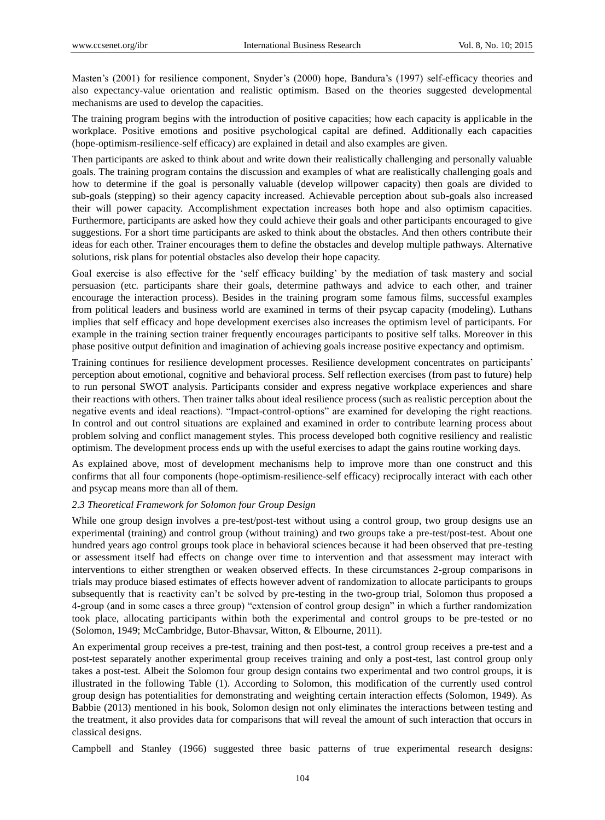Masten's (2001) for resilience component, Snyder's (2000) hope, Bandura's (1997) self-efficacy theories and also expectancy-value orientation and realistic optimism. Based on the theories suggested developmental mechanisms are used to develop the capacities.

The training program begins with the introduction of positive capacities; how each capacity is applicable in the workplace. Positive emotions and positive psychological capital are defined. Additionally each capacities (hope-optimism-resilience-self efficacy) are explained in detail and also examples are given.

Then participants are asked to think about and write down their realistically challenging and personally valuable goals. The training program contains the discussion and examples of what are realistically challenging goals and how to determine if the goal is personally valuable (develop willpower capacity) then goals are divided to sub-goals (stepping) so their agency capacity increased. Achievable perception about sub-goals also increased their will power capacity. Accomplishment expectation increases both hope and also optimism capacities. Furthermore, participants are asked how they could achieve their goals and other participants encouraged to give suggestions. For a short time participants are asked to think about the obstacles. And then others contribute their ideas for each other. Trainer encourages them to define the obstacles and develop multiple pathways. Alternative solutions, risk plans for potential obstacles also develop their hope capacity.

Goal exercise is also effective for the "self efficacy building" by the mediation of task mastery and social persuasion (etc. participants share their goals, determine pathways and advice to each other, and trainer encourage the interaction process). Besides in the training program some famous films, successful examples from political leaders and business world are examined in terms of their psycap capacity (modeling). Luthans implies that self efficacy and hope development exercises also increases the optimism level of participants. For example in the training section trainer frequently encourages participants to positive self talks. Moreover in this phase positive output definition and imagination of achieving goals increase positive expectancy and optimism.

Training continues for resilience development processes. Resilience development concentrates on participants" perception about emotional, cognitive and behavioral process. Self reflection exercises (from past to future) help to run personal SWOT analysis. Participants consider and express negative workplace experiences and share their reactions with others. Then trainer talks about ideal resilience process (such as realistic perception about the negative events and ideal reactions). "Impact-control-options" are examined for developing the right reactions. In control and out control situations are explained and examined in order to contribute learning process about problem solving and conflict management styles. This process developed both cognitive resiliency and realistic optimism. The development process ends up with the useful exercises to adapt the gains routine working days.

As explained above, most of development mechanisms help to improve more than one construct and this confirms that all four components (hope-optimism-resilience-self efficacy) reciprocally interact with each other and psycap means more than all of them.

## *2.3 Theoretical Framework for Solomon four Group Design*

While one group design involves a pre-test/post-test without using a control group, two group designs use an experimental (training) and control group (without training) and two groups take a pre-test/post-test. About one hundred years ago control groups took place in behavioral sciences because it had been observed that pre-testing or assessment itself had effects on change over time to intervention and that assessment may interact with interventions to either strengthen or weaken observed effects. In these circumstances 2-group comparisons in trials may produce biased estimates of effects however advent of randomization to allocate participants to groups subsequently that is reactivity can"t be solved by pre-testing in the two-group trial, Solomon thus proposed a 4-group (and in some cases a three group) "extension of control group design" in which a further randomization took place, allocating participants within both the experimental and control groups to be pre-tested or no (Solomon, 1949; McCambridge, Butor-Bhavsar, Witton, & Elbourne, 2011).

An experimental group receives a pre-test, training and then post-test, a control group receives a pre-test and a post-test separately another experimental group receives training and only a post-test, last control group only takes a post-test. Albeit the Solomon four group design contains two experimental and two control groups, it is illustrated in the following Table (1). According to Solomon, this modification of the currently used control group design has potentialities for demonstrating and weighting certain interaction effects (Solomon, 1949). As Babbie (2013) mentioned in his book, Solomon design not only eliminates the interactions between testing and the treatment, it also provides data for comparisons that will reveal the amount of such interaction that occurs in classical designs.

Campbell and Stanley (1966) suggested three basic patterns of true experimental research designs: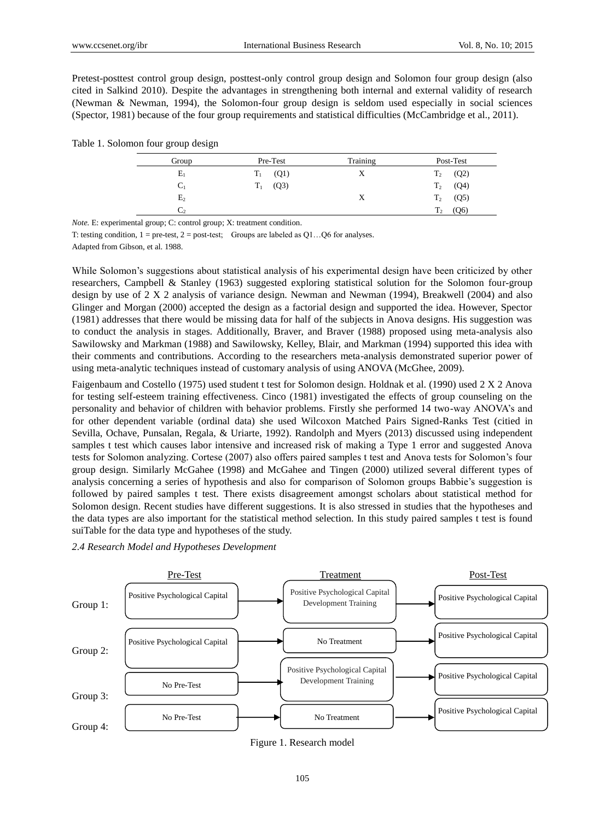Pretest-posttest control group design, posttest-only control group design and Solomon four group design (also cited in Salkind 2010). Despite the advantages in strengthening both internal and external validity of research (Newman & Newman, 1994), the Solomon-four group design is seldom used especially in social sciences (Spector, 1981) because of the four group requirements and statistical difficulties (McCambridge et al., 2011).

Table 1. Solomon four group design

| Group          | Pre-Test      | Training | Post-Test     |  |  |
|----------------|---------------|----------|---------------|--|--|
| $E_1$          | $T_1$ (Q1)    | Х        | (Q2)<br>$T_2$ |  |  |
| $C_1$          | (Q3)<br>$T_1$ |          | $T_2$ (Q4)    |  |  |
| E <sub>2</sub> |               | X        | $T_2$ (Q5)    |  |  |
| C,             |               |          | (Q6)<br>$T_2$ |  |  |

*Note.* E: experimental group; C: control group; X: treatment condition.

T: testing condition,  $1 =$  pre-test,  $2 =$  post-test; Groups are labeled as  $Q1...Q6$  for analyses.

Adapted from Gibson, et al. 1988.

While Solomon's suggestions about statistical analysis of his experimental design have been criticized by other researchers, Campbell & Stanley (1963) suggested exploring statistical solution for the Solomon four-group design by use of 2 X 2 analysis of variance design. Newman and Newman (1994), Breakwell (2004) and also Glinger and Morgan (2000) accepted the design as a factorial design and supported the idea. However, Spector (1981) addresses that there would be missing data for half of the subjects in Anova designs. His suggestion was to conduct the analysis in stages. Additionally, Braver, and Braver (1988) proposed using meta-analysis also Sawilowsky and Markman (1988) and Sawilowsky, Kelley, Blair, and Markman (1994) supported this idea with their comments and contributions. According to the researchers meta-analysis demonstrated superior power of using meta-analytic techniques instead of customary analysis of using ANOVA (McGhee, 2009).

Faigenbaum and Costello (1975) used student t test for Solomon design. Holdnak et al. (1990) used 2 X 2 Anova for testing self-esteem training effectiveness. Cinco (1981) investigated the effects of group counseling on the personality and behavior of children with behavior problems. Firstly she performed 14 two-way ANOVA"s and for other dependent variable (ordinal data) she used Wilcoxon Matched Pairs Signed-Ranks Test (citied in Sevilla, Ochave, Punsalan, Regala, & Uriarte, 1992). Randolph and Myers (2013) discussed using independent samples t test which causes labor intensive and increased risk of making a Type 1 error and suggested Anova tests for Solomon analyzing. Cortese (2007) also offers paired samples t test and Anova tests for Solomon"s four group design. Similarly McGahee (1998) and McGahee and Tingen (2000) utilized several different types of analysis concerning a series of hypothesis and also for comparison of Solomon groups Babbie"s suggestion is followed by paired samples t test. There exists disagreement amongst scholars about statistical method for Solomon design. Recent studies have different suggestions. It is also stressed in studies that the hypotheses and the data types are also important for the statistical method selection. In this study paired samples t test is found suiTable for the data type and hypotheses of the study.

*2.4 Research Model and Hypotheses Development*



Figure 1. Research model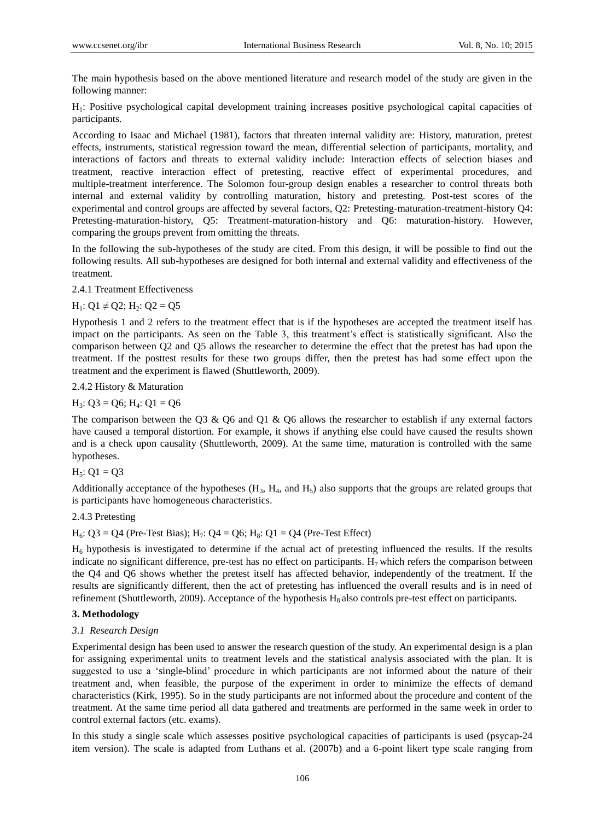The main hypothesis based on the above mentioned literature and research model of the study are given in the following manner:

H1: Positive psychological capital development training increases positive psychological capital capacities of participants.

According to Isaac and Michael (1981), factors that threaten internal validity are: History, maturation, pretest effects, instruments, statistical regression toward the mean, differential selection of participants, mortality, and interactions of factors and threats to external validity include: Interaction effects of selection biases and treatment, reactive interaction effect of pretesting, reactive effect of experimental procedures, and multiple-treatment interference. The Solomon four-group design enables a researcher to control threats both internal and external validity by controlling maturation, history and pretesting. Post-test scores of the experimental and control groups are affected by several factors, Q2: Pretesting-maturation-treatment-history Q4: Pretesting-maturation-history, Q5: Treatment-maturation-history and Q6: maturation-history. However, comparing the groups prevent from omitting the threats.

In the following the sub-hypotheses of the study are cited. From this design, it will be possible to find out the following results. All sub-hypotheses are designed for both internal and external validity and effectiveness of the treatment.

2.4.1 Treatment Effectiveness

 $H_1$ : Q1  $\neq$  Q2; H<sub>2</sub>: Q2 = Q5

Hypothesis 1 and 2 refers to the treatment effect that is if the hypotheses are accepted the treatment itself has impact on the participants. As seen on the Table 3, this treatment's effect is statistically significant. Also the comparison between Q2 and Q5 allows the researcher to determine the effect that the pretest has had upon the treatment. If the posttest results for these two groups differ, then the pretest has had some effect upon the treatment and the experiment is flawed (Shuttleworth, 2009).

2.4.2 History & Maturation

 $H_3$ : Q3 = Q6;  $H_4$ : Q1 = Q6

The comparison between the Q3 & Q6 and Q1 & Q6 allows the researcher to establish if any external factors have caused a temporal distortion. For example, it shows if anything else could have caused the results shown and is a check upon causality (Shuttleworth, 2009). At the same time, maturation is controlled with the same hypotheses.

 $H_5$ : Q1 = Q3

Additionally acceptance of the hypotheses  $(H_3, H_4,$  and  $H_5)$  also supports that the groups are related groups that is participants have homogeneous characteristics.

2.4.3 Pretesting

 $H_6$ :  $O3 = O4$  (Pre-Test Bias);  $H_7$ :  $O4 = O6$ ;  $H_8$ :  $O1 = O4$  (Pre-Test Effect)

H<sub>6</sub> hypothesis is investigated to determine if the actual act of pretesting influenced the results. If the results indicate no significant difference, pre-test has no effect on participants.  $H_7$  which refers the comparison between the Q4 and Q6 shows whether the pretest itself has affected behavior, independently of the treatment. If the results are significantly different, then the act of pretesting has influenced the overall results and is in need of refinement (Shuttleworth, 2009). Acceptance of the hypothesis  $H_8$  also controls pre-test effect on participants.

## **3. Methodology**

## *3.1 Research Design*

Experimental design has been used to answer the research question of the study. An experimental design is a plan for assigning experimental units to treatment levels and the statistical analysis associated with the plan. It is suggested to use a "single-blind" procedure in which participants are not informed about the nature of their treatment and, when feasible, the purpose of the experiment in order to minimize the effects of demand characteristics (Kirk, 1995). So in the study participants are not informed about the procedure and content of the treatment. At the same time period all data gathered and treatments are performed in the same week in order to control external factors (etc. exams).

In this study a single scale which assesses positive psychological capacities of participants is used (psycap-24 item version). The scale is adapted from Luthans et al. (2007b) and a 6-point likert type scale ranging from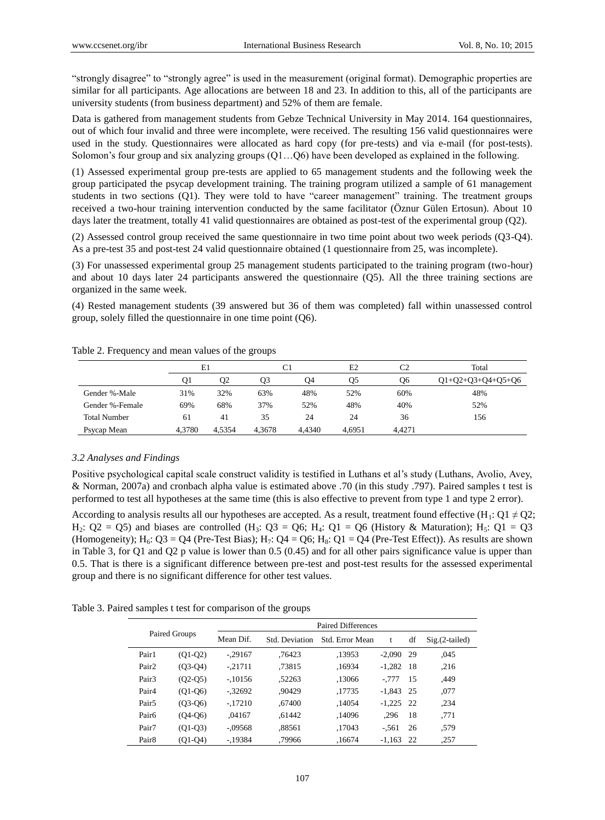"strongly disagree" to "strongly agree" is used in the measurement (original format). Demographic properties are similar for all participants. Age allocations are between 18 and 23. In addition to this, all of the participants are university students (from business department) and 52% of them are female.

Data is gathered from management students from Gebze Technical University in May 2014. 164 questionnaires, out of which four invalid and three were incomplete, were received. The resulting 156 valid questionnaires were used in the study. Questionnaires were allocated as hard copy (for pre-tests) and via e-mail (for post-tests). Solomon's four group and six analyzing groups  $(Q1...Q6)$  have been developed as explained in the following.

(1) Assessed experimental group pre-tests are applied to 65 management students and the following week the group participated the psycap development training. The training program utilized a sample of 61 management students in two sections (Q1). They were told to have "career management" training. The treatment groups received a two-hour training intervention conducted by the same facilitator (Ö znur Gülen Ertosun). About 10 days later the treatment, totally 41 valid questionnaires are obtained as post-test of the experimental group (Q2).

(2) Assessed control group received the same questionnaire in two time point about two week periods (Q3-Q4). As a pre-test 35 and post-test 24 valid questionnaire obtained (1 questionnaire from 25, was incomplete).

(3) For unassessed experimental group 25 management students participated to the training program (two-hour) and about 10 days later 24 participants answered the questionnaire (Q5). All the three training sections are organized in the same week.

(4) Rested management students (39 answered but 36 of them was completed) fall within unassessed control group, solely filled the questionnaire in one time point (Q6).

|                     | E1     |        | C1     |        | E2     | C2             | Total               |  |
|---------------------|--------|--------|--------|--------|--------|----------------|---------------------|--|
|                     | O1     | O2     | O3     | O4     | O5     | O <sub>6</sub> | $Q1+Q2+Q3+Q4+Q5+Q6$ |  |
| Gender %-Male       | 31%    | 32%    | 63%    | 48%    | 52%    | 60%            | 48%                 |  |
| Gender %-Female     | 69%    | 68%    | 37%    | 52%    | 48%    | 40%            | 52%                 |  |
| <b>Total Number</b> | 61     | 41     | 35     | 24     | 24     | 36             | 156                 |  |
| Psycap Mean         | 4.3780 | 4.5354 | 4.3678 | 4.4340 | 4.6951 | 4.4271         |                     |  |

Table 2. Frequency and mean values of the groups

### *3.2 Analyses and Findings*

Positive psychological capital scale construct validity is testified in Luthans et al"s study (Luthans, Avolio, Avey, & Norman, 2007a) and cronbach alpha value is estimated above .70 (in this study .797). Paired samples t test is performed to test all hypotheses at the same time (this is also effective to prevent from type 1 and type 2 error).

According to analysis results all our hypotheses are accepted. As a result, treatment found effective  $(H_1: O1 \neq O2)$ ; H<sub>2</sub>:  $Q_2 = Q_5$ ) and biases are controlled (H<sub>3</sub>:  $Q_3 = Q_6$ ; H<sub>4</sub>:  $Q_1 = Q_6$  (History & Maturation); H<sub>5</sub>:  $Q_1 = Q_3$ (Homogeneity); H<sub>6</sub>: Q3 = Q4 (Pre-Test Bias); H<sub>7</sub>: Q4 = Q6; H<sub>8</sub>: Q1 = Q4 (Pre-Test Effect)). As results are shown in Table 3, for Q1 and Q2 p value is lower than 0.5 (0.45) and for all other pairs significance value is upper than 0.5. That is there is a significant difference between pre-test and post-test results for the assessed experimental group and there is no significant difference for other test values.

Table 3. Paired samples t test for comparison of the groups

| Paired Groups     |           | Paired Differences |                |                 |             |    |                  |
|-------------------|-----------|--------------------|----------------|-----------------|-------------|----|------------------|
|                   |           | Mean Dif.          | Std. Deviation | Std. Error Mean | t           | df | $Sig.(2-tailed)$ |
| Pair1             | $(Q1-Q2)$ | $-29167$           | .76423         | ,13953          | $-2.090$    | 29 | .045             |
| Pair <sub>2</sub> | $(O3-O4)$ | $-21711$           | ,73815         | .16934          | $-1,282$    | 18 | .216             |
| Pair <sub>3</sub> | $(O2-O5)$ | $-10156$           | .52263         | .13066          | $-.777$     | 15 | .449             |
| Pair <sub>4</sub> | $(O1-O6)$ | $-32692$           | .90429         | .17735          | $-1.843$ 25 |    | .077             |
| Pair <sub>5</sub> | $(03-06)$ | $-.17210$          | .67400         | .14054          | $-1.225$ 22 |    | .234             |
| Pair <sub>6</sub> | $(04-06)$ | .04167             | .61442         | .14096          | .296        | 18 | .771             |
| Pair7             | $(Q1-Q3)$ | $-0.9568$          | .88561         | .17043          | $-.561$     | 26 | .579             |
| Pair <sub>8</sub> | $(Q1-Q4)$ | $-19384$           | .79966         | .16674          | $-1.163$    | 22 | .257             |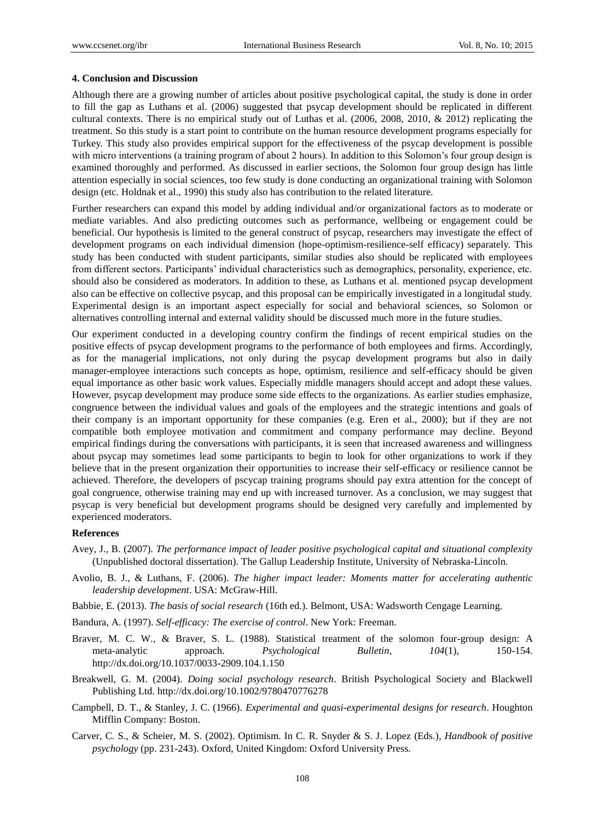### **4. Conclusion and Discussion**

Although there are a growing number of articles about positive psychological capital, the study is done in order to fill the gap as Luthans et al. (2006) suggested that psycap development should be replicated in different cultural contexts. There is no empirical study out of Luthas et al. (2006, 2008, 2010, & 2012) replicating the treatment. So this study is a start point to contribute on the human resource development programs especially for Turkey. This study also provides empirical support for the effectiveness of the psycap development is possible with micro interventions (a training program of about 2 hours). In addition to this Solomon's four group design is examined thoroughly and performed. As discussed in earlier sections, the Solomon four group design has little attention especially in social sciences, too few study is done conducting an organizational training with Solomon design (etc. Holdnak et al., 1990) this study also has contribution to the related literature.

Further researchers can expand this model by adding individual and/or organizational factors as to moderate or mediate variables. And also predicting outcomes such as performance, wellbeing or engagement could be beneficial. Our hypothesis is limited to the general construct of psycap, researchers may investigate the effect of development programs on each individual dimension (hope-optimism-resilience-self efficacy) separately. This study has been conducted with student participants, similar studies also should be replicated with employees from different sectors. Participants" individual characteristics such as demographics, personality, experience, etc. should also be considered as moderators. In addition to these, as Luthans et al. mentioned psycap development also can be effective on collective psycap, and this proposal can be empirically investigated in a longitudal study. Experimental design is an important aspect especially for social and behavioral sciences, so Solomon or alternatives controlling internal and external validity should be discussed much more in the future studies.

Our experiment conducted in a developing country confirm the findings of recent empirical studies on the positive effects of psycap development programs to the performance of both employees and firms. Accordingly, as for the managerial implications, not only during the psycap development programs but also in daily manager-employee interactions such concepts as hope, optimism, resilience and self-efficacy should be given equal importance as other basic work values. Especially middle managers should accept and adopt these values. However, psycap development may produce some side effects to the organizations. As earlier studies emphasize, congruence between the individual values and goals of the employees and the strategic intentions and goals of their company is an important opportunity for these companies (e.g. Eren et al., 2000); but if they are not compatible both employee motivation and commitment and company performance may decline. Beyond empirical findings during the conversations with participants, it is seen that increased awareness and willingness about psycap may sometimes lead some participants to begin to look for other organizations to work if they believe that in the present organization their opportunities to increase their self-efficacy or resilience cannot be achieved. Therefore, the developers of pscycap training programs should pay extra attention for the concept of goal congruence, otherwise training may end up with increased turnover. As a conclusion, we may suggest that psycap is very beneficial but development programs should be designed very carefully and implemented by experienced moderators.

#### **References**

- Avey, J., B. (2007). *The performance impact of leader positive psychological capital and situational complexity*  (Unpublished doctoral dissertation). The Gallup Leadership Institute, University of Nebraska-Lincoln.
- Avolio, B. J., & Luthans, F. (2006). *The higher impact leader: Moments matter for accelerating authentic leadership development*. USA: McGraw-Hill.
- Babbie, E. (2013). *The basis of social research* (16th ed.). Belmont, USA: Wadsworth Cengage Learning.
- Bandura, A. (1997). *Self-efficacy: The exercise of control*. New York: Freeman.
- Braver, M. C. W., & Braver, S. L. (1988). Statistical treatment of the solomon four-group design: A meta-analytic approach. *Psychological Bulletin*, *104*(1), 150-154. http://dx.doi.org/10.1037/0033-2909.104.1.150
- Breakwell, G. M. (2004). *Doing social psychology research*. British Psychological Society and Blackwell Publishing Ltd. <http://dx.doi.org/10.1002/9780470776278>
- Campbell, D. T., & Stanley, J. C. (1966). *Experimental and quasi-experimental designs for research*. Houghton Mifflin Company: Boston.
- Carver, C. S., & Scheier, M. S. (2002). Optimism. In C. R. Snyder & S. J. Lopez (Eds.), *Handbook of positive psychology* (pp. 231-243). Oxford, United Kingdom: Oxford University Press.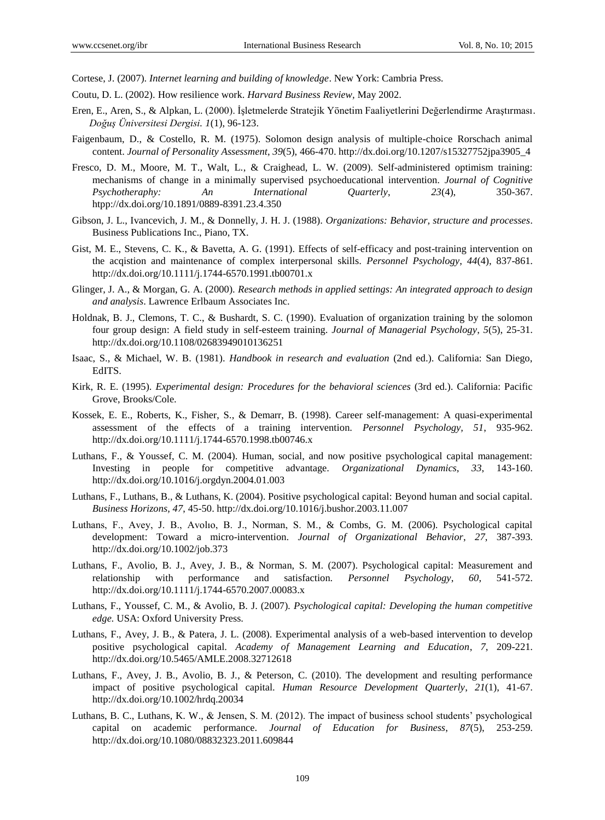Cortese, J. (2007). *Internet learning and building of knowledge*. New York: Cambria Press.

- Coutu, D. L. (2002). How resilience work. *Harvard Business Review,* May 2002.
- Eren, E., Aren, S., & Alpkan, L. (2000). İşletmelerde Stratejik Yönetim Faaliyetlerini Değerlendirme Araştırması. *Doğuş Üniversitesi Dergisi. 1*(1), 96-123.
- Faigenbaum, D., & Costello, R. M. (1975). Solomon design analysis of multiple-choice Rorschach animal content. *Journal of Personality Assessment*, *39*(5), 466-470. http://dx.doi.org/10.1207/s15327752jpa3905\_4
- Fresco, D. M., Moore, M. T., Walt, L., & Craighead, L. W. (2009). Self-administered optimism training: mechanisms of change in a minimally supervised psychoeducational intervention. *Journal of Cognitive Psychotheraphy: An International Quarterly*, *23*(4), 350-367. htpp://dx.doi.org/10.1891/0889-8391.23.4.350
- Gibson, J. L., Ivancevich, J. M., & Donnelly, J. H. J. (1988). *Organizations: Behavior, structure and processes*. Business Publications Inc., Piano, TX.
- Gist, M. E., Stevens, C. K., & Bavetta, A. G. (1991). Effects of self-efficacy and post-training intervention on the acqistion and maintenance of complex interpersonal skills. *Personnel Psychology*, *44*(4), 837-861. http://dx.doi.org/10.1111/j.1744-6570.1991.tb00701.x
- Glinger, J. A., & Morgan, G. A. (2000). *Research methods in applied settings: An integrated approach to design and analysis*. Lawrence Erlbaum Associates Inc.
- Holdnak, B. J., Clemons, T. C., & Bushardt, S. C. (1990). Evaluation of organization training by the solomon four group design: A field study in self-esteem training. *Journal of Managerial Psychology*, *5*(5), 25-31. http://dx.doi.org/10.1108/02683949010136251
- Isaac, S., & Michael, W. B. (1981). *Handbook in research and evaluation* (2nd ed.). California: San Diego, EdITS.
- Kirk, R. E. (1995). *Experimental design: Procedures for the behavioral sciences* (3rd ed.). California: Pacific Grove, Brooks/Cole.
- Kossek, E. E., Roberts, K., Fisher, S., & Demarr, B. (1998). Career self-management: A quasi-experimental assessment of the effects of a training intervention. *Personnel Psychology, 51*, 935-962. http://dx.doi.org/10.1111/j.1744-6570.1998.tb00746.x
- Luthans, F., & Youssef, C. M. (2004). Human, social, and now positive psychological capital management: Investing in people for competitive advantage. *Organizational Dynamics*, *33*, 143-160. <http://dx.doi.org/10.1016/j.orgdyn.2004.01.003>
- Luthans, F., Luthans, B., & Luthans, K. (2004). Positive psychological capital: Beyond human and social capital. *Business Horizons, 47*, 45-50[. http://dx.doi.org/10.1016/j.bushor.2003.11.007](http://dx.doi.org/10.1016/j.bushor.2003.11.007)
- Luthans, F., Avey, J. B., Avolıo, B. J., Norman, S. M., & Combs, G. M. (2006). Psychological capital development: Toward a micro-intervention. *Journal of Organizational Behavior*, *27*, 387-393. <http://dx.doi.org/10.1002/job.373>
- Luthans, F., Avolio, B. J., Avey, J. B., & Norman, S. M. (2007). Psychological capital: Measurement and relationship with performance and satisfaction. *Personnel Psychology*, *60*, 541-572. http://dx.doi.org/10.1111/j.1744-6570.2007.00083.x
- Luthans, F., Youssef, C. M., & Avolio, B. J. (2007)*. Psychological capital: Developing the human competitive edge.* USA: Oxford University Press.
- Luthans, F., Avey, J. B., & Patera, J. L. (2008). Experimental analysis of a web-based intervention to develop positive psychological capital. *Academy of Management Learning and Education*, *7*, 209-221. http://dx.doi.org/10.5465/AMLE.2008.32712618
- Luthans, F., Avey, J. B., Avolio, B. J., & Peterson, C. (2010). The development and resulting performance impact of positive psychological capital. *Human Resource Development Quarterly*, *21*(1), 41-67. <http://dx.doi.org/10.1002/hrdq.20034>
- Luthans, B. C., Luthans, K. W., & Jensen, S. M. (2012). The impact of business school students" psychological capital on academic performance. *Journal of Education for Business*, *87*(5), 253-259. http://dx.doi.org/10.1080/08832323.2011.609844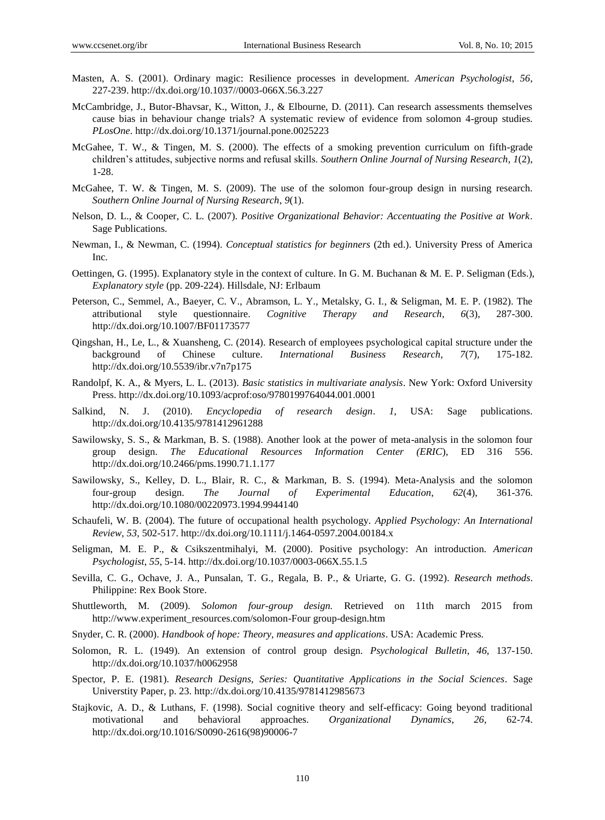- Masten, A. S. (2001). Ordinary magic: Resilience processes in development. *American Psychologist*, *56*, 227-239. http://dx.doi.org/10.1037//0003-066X.56.3.227
- McCambridge, J., Butor-Bhavsar, K., Witton, J., & Elbourne, D. (2011). Can research assessments themselves cause bias in behaviour change trials? A systematic review of evidence from solomon 4-group studies. *PLosOne*. <http://dx.doi.org/10.1371/journal.pone.0025223>
- McGahee, T. W., & Tingen, M. S. (2000). The effects of a smoking prevention curriculum on fifth-grade children"s attitudes, subjective norms and refusal skills. *Southern Online Journal of Nursing Research*, *1*(2), 1-28.
- McGahee, T. W. & Tingen, M. S. (2009). The use of the solomon four-group design in nursing research. *Southern Online Journal of Nursing Research*, *9*(1).
- Nelson, D. L., & Cooper, C. L. (2007). *Positive Organizational Behavior: Accentuating the Positive at Work*. Sage Publications.
- Newman, I., & Newman, C. (1994). *Conceptual statistics for beginners* (2th ed.). University Press of America Inc.
- Oettingen, G. (1995). Explanatory style in the context of culture. In G. M. Buchanan & M. E. P. Seligman (Eds.), *Explanatory style* (pp. 209-224). Hillsdale, NJ: Erlbaum
- Peterson, C., Semmel, A., Baeyer, C. V., Abramson, L. Y., Metalsky, G. I., & Seligman, M. E. P. (1982). The attributional style questionnaire. *Cognitive Therapy and Research*, *6*(3), 287-300. http://dx.doi.org/10.1007/BF01173577
- Qingshan, H., Le, L., & Xuansheng, C. (2014). Research of employees psychological capital structure under the background of Chinese culture. *International Business Research*, *7*(7), 175-182. http://dx.doi.org/10.5539/ibr.v7n7p175
- Randolpf, K. A., & Myers, L. L. (2013). *Basic statistics in multivariate analysis*. New York: Oxford University Press. <http://dx.doi.org/10.1093/acprof:oso/9780199764044.001.0001>
- Salkind, N. J. (2010). *Encyclopedia of research design*. *1*, USA: Sage publications. <http://dx.doi.org/10.4135/9781412961288>
- Sawilowsky, S. S., & Markman, B. S. (1988). Another look at the power of meta-analysis in the solomon four group design. *The Educational Resources Information Center (ERIC*), ED 316 556. http://dx.doi.org/10.2466/pms.1990.71.1.177
- Sawilowsky, S., Kelley, D. L., Blair, R. C., & Markman, B. S. (1994). Meta-Analysis and the solomon four-group design. *The Journal of Experimental Education*, *62*(4), 361-376. http://dx.doi.org/10.1080/00220973.1994.9944140
- Schaufeli, W. B. (2004). The future of occupational health psychology. *Applied Psychology: An International Review*, *53*, 502-517. http://dx.doi.org/10.1111/j.1464-0597.2004.00184.x
- Seligman, M. E. P., & Csikszentmihalyi, M. (2000). Positive psychology: An introduction. *American Psychologist*, *55*, 5-14. http://dx.doi.org/10.1037/0003-066X.55.1.5
- Sevilla, C. G., Ochave, J. A., Punsalan, T. G., Regala, B. P., & Uriarte, G. G. (1992). *Research methods*. Philippine: Rex Book Store.
- Shuttleworth, M. (2009). *Solomon four-group design.* Retrieved on 11th march 2015 from [http://www.experiment\\_resources.com/solomon-Four group-design.htm](http://www.experiment_resources.com/solomon-Four%20group-design.htm)
- Snyder, C. R. (2000). *Handbook of hope: Theory, measures and applications*. USA: Academic Press.
- Solomon, R. L. (1949). An extension of control group design. *Psychological Bulletin*, *46*, 137-150. http://dx.doi.org/10.1037/h0062958
- Spector, P. E. (1981). *Research Designs, Series: Quantitative Applications in the Social Sciences*. Sage Universtity Paper, p. 23.<http://dx.doi.org/10.4135/9781412985673>
- Stajkovic, A. D., & Luthans, F. (1998). Social cognitive theory and self-efficacy: Going beyond traditional motivational and behavioral approaches. *Organizational Dynamics*, *26*, 62-74. [http://dx.doi.org/10.1016/S0090-2616\(98\)90006-7](http://dx.doi.org/10.1016/S0090-2616(98)90006-7)